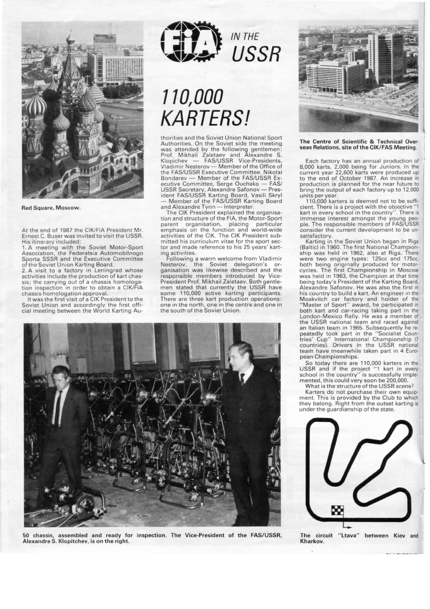

## **Red Square, Moscow.**

At the end of 1987 the CIK/FIA President Mr. Ernest C. Buser was invited to visit the USSR. His itinerary included:

A meeting with the Soviet Motor-Sport Association, the Federatsia Automobilnogo<br>Sporta SSSR and the Executive Committee of the Soviet Union Karting Board.<br>2. A visit to a factory in Leningrad whose

activities include the production of kart chassis; the carrying out of a chassis homologation inspection in order to obtain a CIK/FIA chassis homologation approval.<br>It was the first visit of a CIK President to the

Soviet Union and accordingly the first official meeting between the World Karting Au-



# 110,000 **KARTERS!**

thorities and the Soviet Union National Sport Authorities. On the Soviet side the meeting<br>was attended by the following gentlemen:<br>Prof. Mikhail Zaletaev and Alexandre S.<br>Klopichev — FAS/USSR Vice-Presidents, Vladimir Nesterov - Member of the Office of the FAS/USSR Executive Committee. Nikolai Bondarev - Member of the FAS/USSR Ex-Boudie Committee, Serge Ouchako — FAS/<br>USSR Secretary, Alexandre Safonov — President FAS/USSR Karting Board, Vasili Skryl<br>— Member of the FAS/USSR Karting Board and Alexandre Tyrin - Interpreter.

The CIK President explained the organisation and structure of the FIA, the Motor-Sport parent organisation, placing particular<br>emphasis on the function and world-wide activities of the CIK. The CIK President submitted his curriculum vitae for the sport sector and made reference to his 25 years' karting activities.<br>Following a warm welcome from Vladimir

Nesterov, the Soviet delegation's or-<br>ganisation was likewise described and the responsible members introduced by Vice-<br>President Prof. Mikhail Zaletaev. Both gentle-<br>men stated that currently the USSR have some 110,000 active karting participants.<br>There are three kart production operations: one in the north, one in the centre and one in the south of the Soviet Union.



assembled and ready for inspection. The Vice-President of the FAS/USSR, 50 chassis. Alexandre S. Klopitchev, is on the right.



The Centre of Scientific & Technical Overseas Relations, site of the CIK/FAS Meeting.

Each factory has an annual production of 8,000 karts, 2,000 being for Juniors. In the current year 22,600 karts were produced up to the end of October 1987. An increase in production is planned for the near future to bring the output of each factory up to 12,000 units per year.<br>110,000 karters is deemed not to be suffi-

cient. There is a project with the objective "1 kart in every school in the country". There is immense interest amongst the young peo-<br>ple. The responsible members of FAS/USSR<br>consider the current development to be unsatisfactory.

Karting in the Soviet Union began in Riga (Baltic) in 1960. The first National Championship was held in 1962, also at Riga. There<br>were two engine types: 125cc and 175cc, both being originally produced for motor-<br>cycles. The first Championship in Moscow was held in 1963, the Champion at that time being today's President of the Karting Board, Alexandre Safonov. He was also the first in<br>his country to build a kart. An engineer in the<br>Moskvitch car factory and holder of the "Master of Sport" award, he participated in<br>both kart and car-racing taking part in the London-Mexico Rally. He was a member of the USSR national team and raced against<br>an Italian team in 1965. Subsequently he rean number of the "Socialist Countries" Cup "The test Cup" International Championship (7 countries). Drivers in the USSR national team have meanwhile taken part in 4 European Championships.

So today there are 110,000 karters in the<br>USSR and if the project "1 kart in every<br>school in the country" is successfully imple-<br>mented, this could very soon be 200,000. What is the structure of the USSR scene?

Karters do not purchase their own equip-

ment. This is provided by the Club to which they belong. Right from the outset karting is under the guardianship of the state.



The circuit "Ltava" between Kiev and Kharkov.